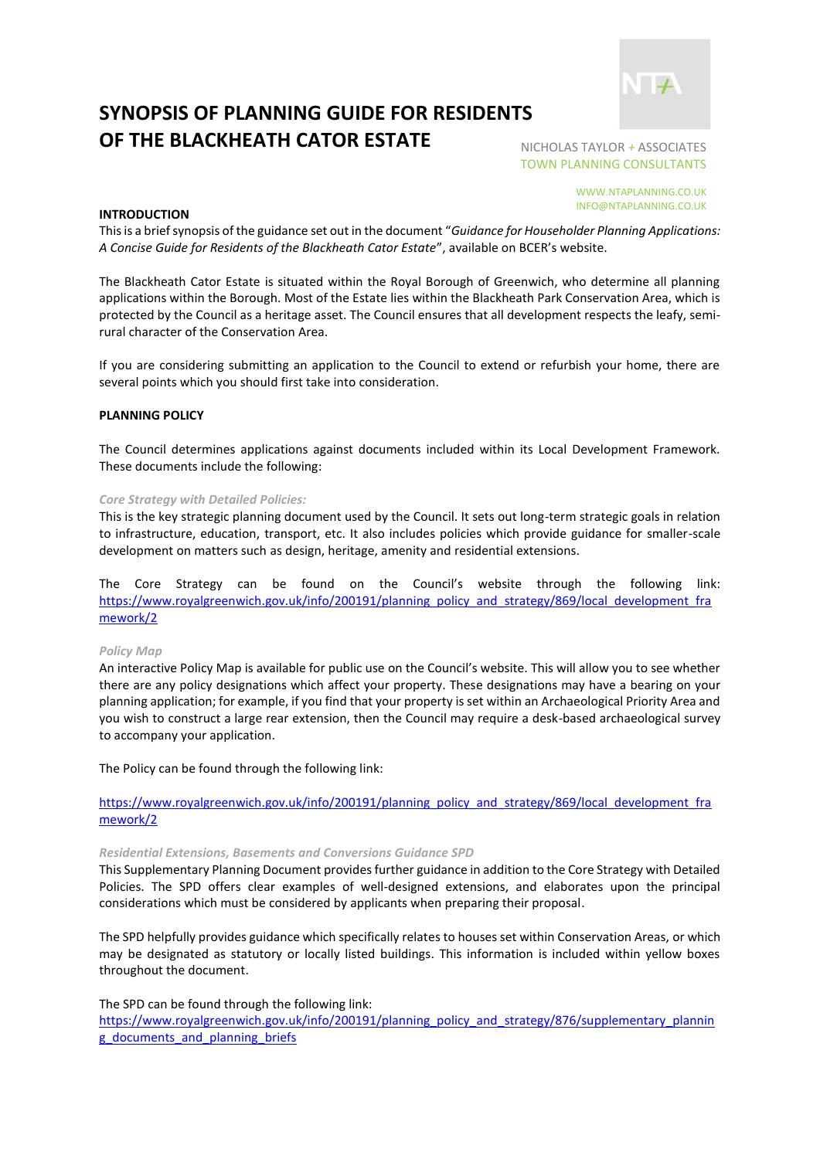

# **SYNOPSIS OF PLANNING GUIDE FOR RESIDENTS OF THE BLACKHEATH CATOR ESTATE**

NICHOLAS TAYLOR *+* ASSOCIATES TOWN PLANNING CONSULTANTS

> WWW.NTAPLANNING.CO.UK INFO@NTAPLANNING.CO.UK

### **INTRODUCTION**

This is a brief synopsis of the guidance set out in the document "*Guidance for Householder Planning Applications: A Concise Guide for Residents of the Blackheath Cator Estate*", available on BCER's website.

The Blackheath Cator Estate is situated within the Royal Borough of Greenwich, who determine all planning applications within the Borough. Most of the Estate lies within the Blackheath Park Conservation Area, which is protected by the Council as a heritage asset. The Council ensures that all development respects the leafy, semirural character of the Conservation Area.

If you are considering submitting an application to the Council to extend or refurbish your home, there are several points which you should first take into consideration.

## **PLANNING POLICY**

The Council determines applications against documents included within its Local Development Framework. These documents include the following:

#### *Core Strategy with Detailed Policies:*

This is the key strategic planning document used by the Council. It sets out long-term strategic goals in relation to infrastructure, education, transport, etc. It also includes policies which provide guidance for smaller-scale development on matters such as design, heritage, amenity and residential extensions.

The Core Strategy can be found on the Council's website through the following link: [https://www.royalgreenwich.gov.uk/info/200191/planning\\_policy\\_and\\_strategy/869/local\\_development\\_fra](https://www.royalgreenwich.gov.uk/info/200191/planning_policy_and_strategy/869/local_development_framework/2) [mework/2](https://www.royalgreenwich.gov.uk/info/200191/planning_policy_and_strategy/869/local_development_framework/2)

#### *Policy Map*

An interactive Policy Map is available for public use on the Council's website. This will allow you to see whether there are any policy designations which affect your property. These designations may have a bearing on your planning application; for example, if you find that your property is set within an Archaeological Priority Area and you wish to construct a large rear extension, then the Council may require a desk-based archaeological survey to accompany your application.

The Policy can be found through the following link:

[https://www.royalgreenwich.gov.uk/info/200191/planning\\_policy\\_and\\_strategy/869/local\\_development\\_fra](https://www.royalgreenwich.gov.uk/info/200191/planning_policy_and_strategy/869/local_development_framework/2) [mework/2](https://www.royalgreenwich.gov.uk/info/200191/planning_policy_and_strategy/869/local_development_framework/2)

#### *Residential Extensions, Basements and Conversions Guidance SPD*

This Supplementary Planning Document provides further guidance in addition to the Core Strategy with Detailed Policies. The SPD offers clear examples of well-designed extensions, and elaborates upon the principal considerations which must be considered by applicants when preparing their proposal.

The SPD helpfully provides guidance which specifically relates to houses set within Conservation Areas, or which may be designated as statutory or locally listed buildings. This information is included within yellow boxes throughout the document.

The SPD can be found through the following link:

[https://www.royalgreenwich.gov.uk/info/200191/planning\\_policy\\_and\\_strategy/876/supplementary\\_plannin](https://www.royalgreenwich.gov.uk/info/200191/planning_policy_and_strategy/876/supplementary_planning_documents_and_planning_briefs) [g\\_documents\\_and\\_planning\\_briefs](https://www.royalgreenwich.gov.uk/info/200191/planning_policy_and_strategy/876/supplementary_planning_documents_and_planning_briefs)